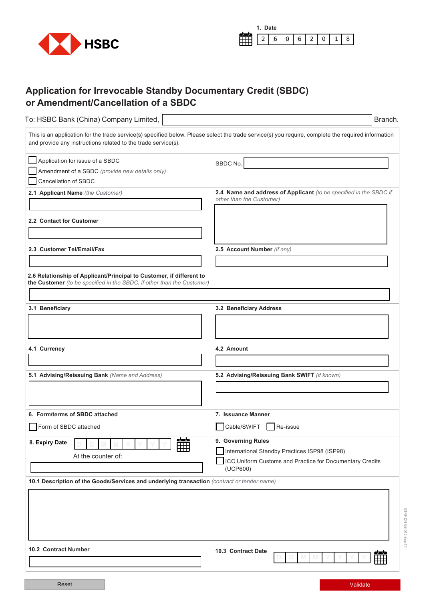



## **Application for Irrevocable Standby Documentary Credit (SBDC) or Amendment/Cancellation of a SBDC**

| To: HSBC Bank (China) Company Limited,                                                                                                         | Branch.                                                                                                                                            |  |  |
|------------------------------------------------------------------------------------------------------------------------------------------------|----------------------------------------------------------------------------------------------------------------------------------------------------|--|--|
| and provide any instructions related to the trade service(s).                                                                                  | This is an application for the trade service(s) specified below. Please select the trade service(s) you require, complete the required information |  |  |
| Application for issue of a SBDC<br>Amendment of a SBDC (provide new details only)<br>Cancellation of SBDC<br>2.1 Applicant Name (the Customer) | SBDC No.<br>2.4 Name and address of Applicant (to be specified in the SBDC if                                                                      |  |  |
| 2.2 Contact for Customer                                                                                                                       | other than the Customer)                                                                                                                           |  |  |
| 2.3 Customer Tel/Email/Fax                                                                                                                     | 2.5 Account Number (if any)                                                                                                                        |  |  |
|                                                                                                                                                |                                                                                                                                                    |  |  |
| 2.6 Relationship of Applicant/Principal to Customer, if different to<br>the Customer (to be specified in the SBDC, if other than the Customer) |                                                                                                                                                    |  |  |
| 3.1 Beneficiary                                                                                                                                | 3.2 Beneficiary Address                                                                                                                            |  |  |
|                                                                                                                                                |                                                                                                                                                    |  |  |
| 4.1 Currency                                                                                                                                   | 4.2 Amount                                                                                                                                         |  |  |
|                                                                                                                                                |                                                                                                                                                    |  |  |
| 5.1 Advising/Reissuing Bank (Name and Address)                                                                                                 | 5.2 Advising/Reissuing Bank SWIFT (if known)                                                                                                       |  |  |
| 6. Form/terms of SBDC attached                                                                                                                 | 7. Issuance Manner                                                                                                                                 |  |  |
| Form of SBDC attached                                                                                                                          | Cable/SWIFT<br>Re-issue                                                                                                                            |  |  |
| 雦<br>8. Expiry Date<br>At the counter of:                                                                                                      | 9. Governing Rules<br>International Standby Practices ISP98 (ISP98)<br>ICC Uniform Customs and Practice for Documentary Credits<br>(UCP600)        |  |  |
| 10.1 Description of the Goods/Services and underlying transaction (contract or tender name)                                                    |                                                                                                                                                    |  |  |
|                                                                                                                                                |                                                                                                                                                    |  |  |
| <b>10.2 Contract Number</b>                                                                                                                    | 10.3 Contract Date<br>$\sim$                                                                                                                       |  |  |
|                                                                                                                                                |                                                                                                                                                    |  |  |
|                                                                                                                                                |                                                                                                                                                    |  |  |

Reset Validate